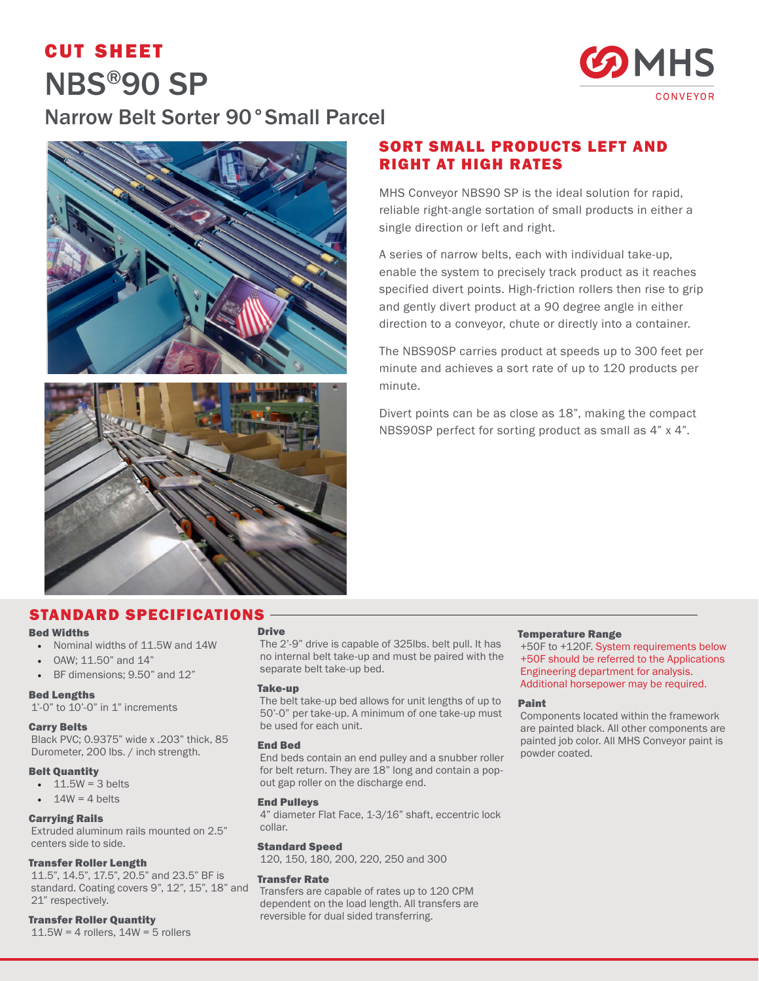# cut sheet NBS®90 SP



## Narrow Belt Sorter 90°Small Parcel





## SORT SMALL PRODUCTS LEFT AND RIGHT AT HIGH RATES

MHS Conveyor NBS90 SP is the ideal solution for rapid, reliable right-angle sortation of small products in either a single direction or left and right.

A series of narrow belts, each with individual take-up, enable the system to precisely track product as it reaches specified divert points. High-friction rollers then rise to grip and gently divert product at a 90 degree angle in either direction to a conveyor, chute or directly into a container.

The NBS90SP carries product at speeds up to 300 feet per minute and achieves a sort rate of up to 120 products per minute.

Divert points can be as close as 18", making the compact NBS90SP perfect for sorting product as small as 4" x 4".

### STANDARD SPECIFICATIONS

#### Bed Widths

- Nominal widths of 11.5W and 14W
- OAW; 11.50" and 14"
- BF dimensions; 9.50" and 12"

#### Bed Lengths

1'-0" to 10'-0" in 1" increments

#### Carry Belts

Black PVC; 0.9375" wide x .203" thick, 85 Durometer, 200 lbs. / inch strength.

#### Belt Quantity

- $\cdot$  11.5W = 3 belts
- $14W = 4$  belts

### Carrying Rails

Extruded aluminum rails mounted on 2.5" centers side to side.

#### Transfer Roller Length

11.5", 14.5", 17.5", 20.5" and 23.5" BF is standard. Coating covers 9", 12", 15", 18" and 21" respectively.

#### Transfer Roller Quantity

 $11.5W = 4$  rollers,  $14W = 5$  rollers

#### Drive

The 2'-9" drive is capable of 325lbs. belt pull. It has no internal belt take-up and must be paired with the separate belt take-up bed.

#### Take-up

The belt take-up bed allows for unit lengths of up to 50'-0" per take-up. A minimum of one take-up must be used for each unit.

#### End Bed

End beds contain an end pulley and a snubber roller for belt return. They are 18" long and contain a popout gap roller on the discharge end.

#### End Pulleys

4" diameter Flat Face, 1-3/16" shaft, eccentric lock collar.

#### Standard Speed

120, 150, 180, 200, 220, 250 and 300

#### Transfer Rate

Transfers are capable of rates up to 120 CPM dependent on the load length. All transfers are reversible for dual sided transferring.

#### Temperature Range

+50F to +120F. System requirements below +50F should be referred to the Applications Engineering department for analysis. Additional horsepower may be required.

#### Paint

Components located within the framework are painted black. All other components are painted job color. All MHS Conveyor paint is powder coated.